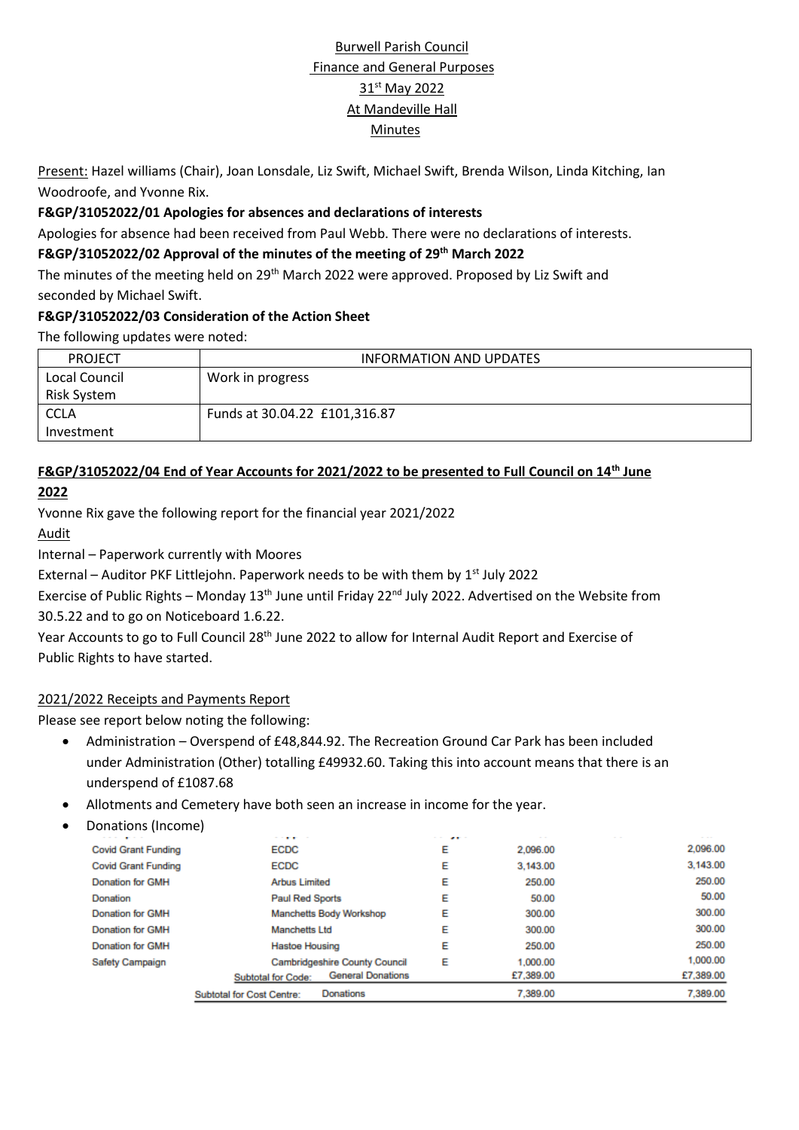# Burwell Parish Council Finance and General Purposes 31<sup>st</sup> May 2022 At Mandeville Hall Minutes

Present: Hazel williams (Chair), Joan Lonsdale, Liz Swift, Michael Swift, Brenda Wilson, Linda Kitching, Ian Woodroofe, and Yvonne Rix.

#### **F&GP/31052022/01 Apologies for absences and declarations of interests**

Apologies for absence had been received from Paul Webb. There were no declarations of interests.

#### **F&GP/31052022/02 Approval of the minutes of the meeting of 29th March 2022**

The minutes of the meeting held on 29<sup>th</sup> March 2022 were approved. Proposed by Liz Swift and seconded by Michael Swift.

#### **F&GP/31052022/03 Consideration of the Action Sheet**

The following updates were noted:

| <b>PROJECT</b> | INFORMATION AND UPDATES       |
|----------------|-------------------------------|
| Local Council  | Work in progress              |
| Risk System    |                               |
| <b>CCLA</b>    | Funds at 30.04.22 £101,316.87 |
| Investment     |                               |

# **F&GP/31052022/04 End of Year Accounts for 2021/2022 to be presented to Full Council on 14th June**

#### **2022**

Yvonne Rix gave the following report for the financial year 2021/2022

#### Audit

Internal – Paperwork currently with Moores

External – Auditor PKF Littlejohn. Paperwork needs to be with them by  $1<sup>st</sup>$  July 2022

Exercise of Public Rights – Monday 13<sup>th</sup> June until Friday 22<sup>nd</sup> July 2022. Advertised on the Website from 30.5.22 and to go on Noticeboard 1.6.22.

Year Accounts to go to Full Council 28<sup>th</sup> June 2022 to allow for Internal Audit Report and Exercise of Public Rights to have started.

#### 2021/2022 Receipts and Payments Report

Please see report below noting the following:

- Administration Overspend of £48,844.92. The Recreation Ground Car Park has been included under Administration (Other) totalling £49932.60. Taking this into account means that there is an underspend of £1087.68
- Allotments and Cemetery have both seen an increase in income for the year.
- Donations (Income)

| -----                      | <b>STATISTICS</b>                                     | and the con-<br>$-$ |           | - - -     |
|----------------------------|-------------------------------------------------------|---------------------|-----------|-----------|
| <b>Covid Grant Funding</b> | ECDC                                                  | E                   | 2,096.00  | 2,096.00  |
| <b>Covid Grant Funding</b> | ECDC                                                  | E                   | 3,143.00  | 3,143.00  |
| <b>Donation for GMH</b>    | <b>Arbus Limited</b>                                  | E                   | 250.00    | 250.00    |
| Donation                   | <b>Paul Red Sports</b>                                | E                   | 50.00     | 50.00     |
| <b>Donation for GMH</b>    | Manchetts Body Workshop                               | Е                   | 300.00    | 300.00    |
| <b>Donation for GMH</b>    | <b>Manchetts Ltd</b>                                  | Е                   | 300.00    | 300.00    |
| <b>Donation for GMH</b>    | <b>Hastoe Housing</b>                                 | Е                   | 250.00    | 250.00    |
| <b>Safety Campaign</b>     | <b>Cambridgeshire County Council</b>                  | Е                   | 1,000.00  | 1,000.00  |
|                            | <b>General Donations</b><br><b>Subtotal for Code:</b> |                     | £7,389.00 | £7,389.00 |
|                            | <b>Donations</b><br><b>Subtotal for Cost Centre:</b>  |                     | 7.389.00  | 7.389.00  |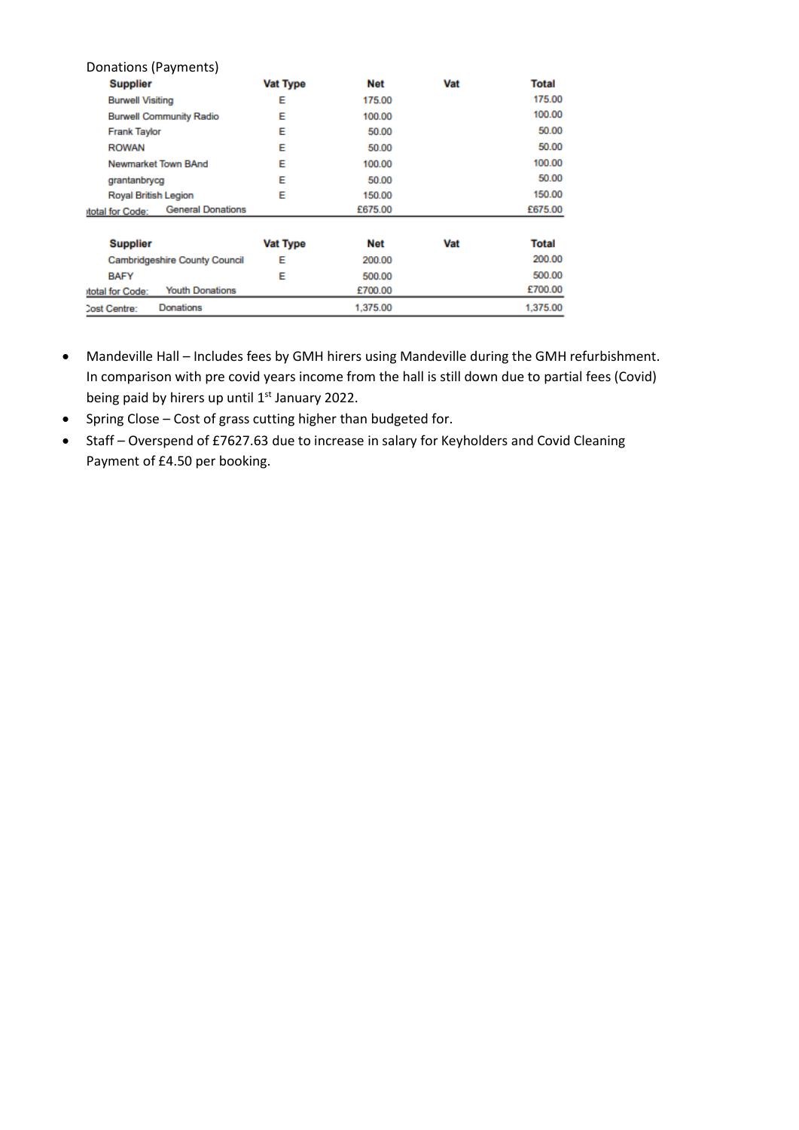| Donations (Payments)                        |                 |          |     |              |
|---------------------------------------------|-----------------|----------|-----|--------------|
| <b>Supplier</b>                             | <b>Vat Type</b> | Net      | Vat | <b>Total</b> |
| <b>Burwell Visiting</b>                     | Е               | 175.00   |     | 175.00       |
| <b>Burwell Community Radio</b>              | Е               | 100.00   |     | 100.00       |
| <b>Frank Taylor</b>                         | Е               | 50.00    |     | 50.00        |
| <b>ROWAN</b>                                | Е               | 50.00    |     | 50.00        |
| Newmarket Town BAnd                         | Е               | 100.00   |     | 100.00       |
| grantanbrycg                                | E               | 50.00    |     | 50.00        |
| Royal British Legion                        | Е               | 150.00   |     | 150.00       |
| <b>General Donations</b><br>total for Code: |                 | £675.00  |     | £675.00      |
| <b>Supplier</b>                             | <b>Vat Type</b> | Net      | Vat | <b>Total</b> |
| <b>Cambridgeshire County Council</b>        | E               | 200.00   |     | 200.00       |
| <b>BAFY</b>                                 | F               | 500.00   |     | 500.00       |
| <b>Youth Donations</b><br>total for Code:   |                 | £700.00  |     | £700.00      |
| Donations<br>Cost Centre:                   |                 | 1,375.00 |     | 1,375.00     |

- Mandeville Hall Includes fees by GMH hirers using Mandeville during the GMH refurbishment. In comparison with pre covid years income from the hall is still down due to partial fees (Covid) being paid by hirers up until 1<sup>st</sup> January 2022.
- Spring Close Cost of grass cutting higher than budgeted for.
- Staff Overspend of £7627.63 due to increase in salary for Keyholders and Covid Cleaning Payment of £4.50 per booking.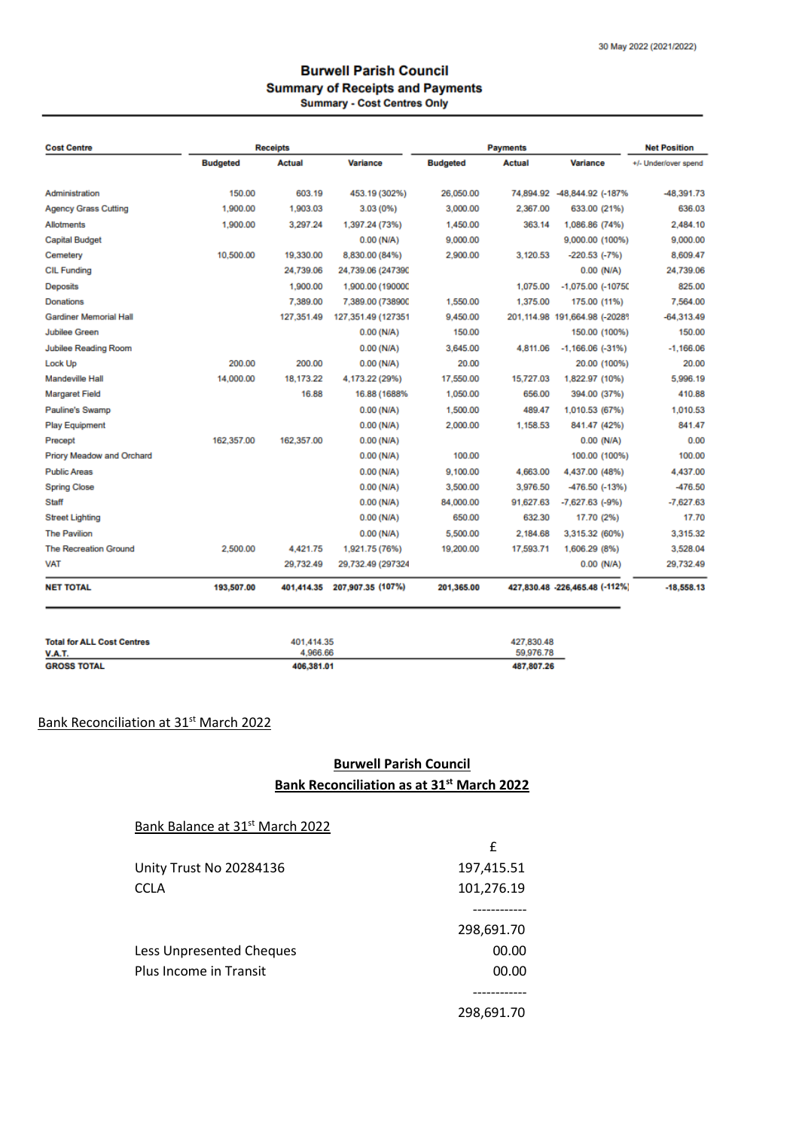#### **Burwell Parish Council Summary of Receipts and Payments** Summary - Cost Centres Only

| <b>Cost Centre</b>               |                 | <b>Receipts</b> |                    |                 | <b>Payments</b> |                                | <b>Net Position</b>  |
|----------------------------------|-----------------|-----------------|--------------------|-----------------|-----------------|--------------------------------|----------------------|
|                                  | <b>Budgeted</b> | <b>Actual</b>   | <b>Variance</b>    | <b>Budgeted</b> | <b>Actual</b>   | <b>Variance</b>                | +/- Under/over spend |
| Administration                   | 150.00          | 603.19          | 453.19 (302%)      | 26.050.00       |                 | 74.894.92 -48.844.92 (-187%    | -48.391.73           |
| <b>Agency Grass Cutting</b>      | 1,900.00        | 1,903.03        | $3.03(0\%)$        | 3,000.00        | 2,367.00        | 633.00 (21%)                   | 636.03               |
| Allotments                       | 1,900.00        | 3.297.24        | 1.397.24 (73%)     | 1.450.00        | 363.14          | 1.086.86 (74%)                 | 2.484.10             |
| <b>Capital Budget</b>            |                 |                 | $0.00$ (N/A)       | 9,000.00        |                 | 9,000.00 (100%)                | 9,000.00             |
| Cemetery                         | 10.500.00       | 19,330.00       | 8,830.00 (84%)     | 2,900.00        | 3.120.53        | $-220.53$ $(-7%)$              | 8,609.47             |
| <b>CIL Funding</b>               |                 | 24.739.06       | 24,739.06 (247390  |                 |                 | $0.00$ (N/A)                   | 24.739.06            |
| Deposits                         |                 | 1,900.00        | 1,900.00 (190000   |                 | 1,075.00        | $-1,075.00$ $(-10750$          | 825.00               |
| <b>Donations</b>                 |                 | 7.389.00        | 7.389.00 (738900   | 1,550.00        | 1,375.00        | 175.00 (11%)                   | 7.564.00             |
| <b>Gardiner Memorial Hall</b>    |                 | 127.351.49      | 127,351.49 (127351 | 9,450.00        |                 | 201,114.98 191,664.98 (-2028)  | $-64.313.49$         |
| <b>Jubilee Green</b>             |                 |                 | $0.00$ (N/A)       | 150.00          |                 | 150.00 (100%)                  | 150.00               |
| Jubilee Reading Room             |                 |                 | $0.00$ (N/A)       | 3.645.00        | 4.811.06        | $-1,166.06$ $(-31\%)$          | $-1.166.06$          |
| Lock Up                          | 200.00          | 200.00          | $0.00$ (N/A)       | 20.00           |                 | 20.00 (100%)                   | 20.00                |
| Mandeville Hall                  | 14,000.00       | 18.173.22       | 4,173.22 (29%)     | 17.550.00       | 15.727.03       | 1,822.97 (10%)                 | 5.996.19             |
| <b>Margaret Field</b>            |                 | 16.88           | 16.88 (1688%       | 1,050.00        | 656.00          | 394.00 (37%)                   | 410.88               |
| Pauline's Swamp                  |                 |                 | $0.00$ (N/A)       | 1,500.00        | 489.47          | 1.010.53 (67%)                 | 1.010.53             |
| <b>Play Equipment</b>            |                 |                 | $0.00$ (N/A)       | 2,000.00        | 1,158.53        | 841.47 (42%)                   | 841.47               |
| Precept                          | 162,357.00      | 162.357.00      | $0.00$ (N/A)       |                 |                 | $0.00$ (N/A)                   | 0.00                 |
| <b>Priory Meadow and Orchard</b> |                 |                 | $0.00$ (N/A)       | 100.00          |                 | 100.00 (100%)                  | 100.00               |
| <b>Public Areas</b>              |                 |                 | $0.00$ (N/A)       | 9.100.00        | 4.663.00        | 4.437.00 (48%)                 | 4.437.00             |
| <b>Spring Close</b>              |                 |                 | $0.00$ (N/A)       | 3,500.00        | 3,976.50        | -476.50 (-13%)                 | -476.50              |
| Staff                            |                 |                 | $0.00$ (N/A)       | 84,000.00       | 91.627.63       | $-7,627.63$ $(-9%)$            | $-7.627.63$          |
| <b>Street Lighting</b>           |                 |                 | $0.00$ (N/A)       | 650.00          | 632.30          | 17.70 (2%)                     | 17.70                |
| <b>The Pavilion</b>              |                 |                 | $0.00$ (N/A)       | 5.500.00        | 2.184.68        | 3,315.32 (60%)                 | 3.315.32             |
| <b>The Recreation Ground</b>     | 2,500.00        | 4.421.75        | 1.921.75 (76%)     | 19,200.00       | 17,593.71       | 1,606.29 (8%)                  | 3,528.04             |
| <b>VAT</b>                       |                 | 29.732.49       | 29,732.49 (297324  |                 |                 | $0.00$ (N/A)                   | 29.732.49            |
| <b>NET TOTAL</b>                 | 193,507.00      | 401,414.35      | 207,907.35 (107%)  | 201,365.00      |                 | 427,830.48 -226,465.48 (-112%) | $-18,558.13$         |

| <b>Total for ALL Cost Centres</b> | 401.414.35 | 427.830.48 |
|-----------------------------------|------------|------------|
| <b>V.A.T.</b>                     | 4.966.66   | 59.976.78  |
| <b>GROSS TOTAL</b>                | 406.381.01 | 487.807.26 |

# Bank Reconciliation at 31<sup>st</sup> March 2022

# **Burwell Parish Council Bank Reconciliation as at 31st March 2022**

| Bank Balance at 31 <sup>st</sup> March 2022 |            |
|---------------------------------------------|------------|
|                                             | f          |
| Unity Trust No 20284136                     | 197,415.51 |
| <b>CCLA</b>                                 | 101,276.19 |
|                                             |            |
|                                             | 298,691.70 |
| Less Unpresented Cheques                    | 00.00      |
| Plus Income in Transit                      | 00.00      |
|                                             |            |
|                                             | 298,691.70 |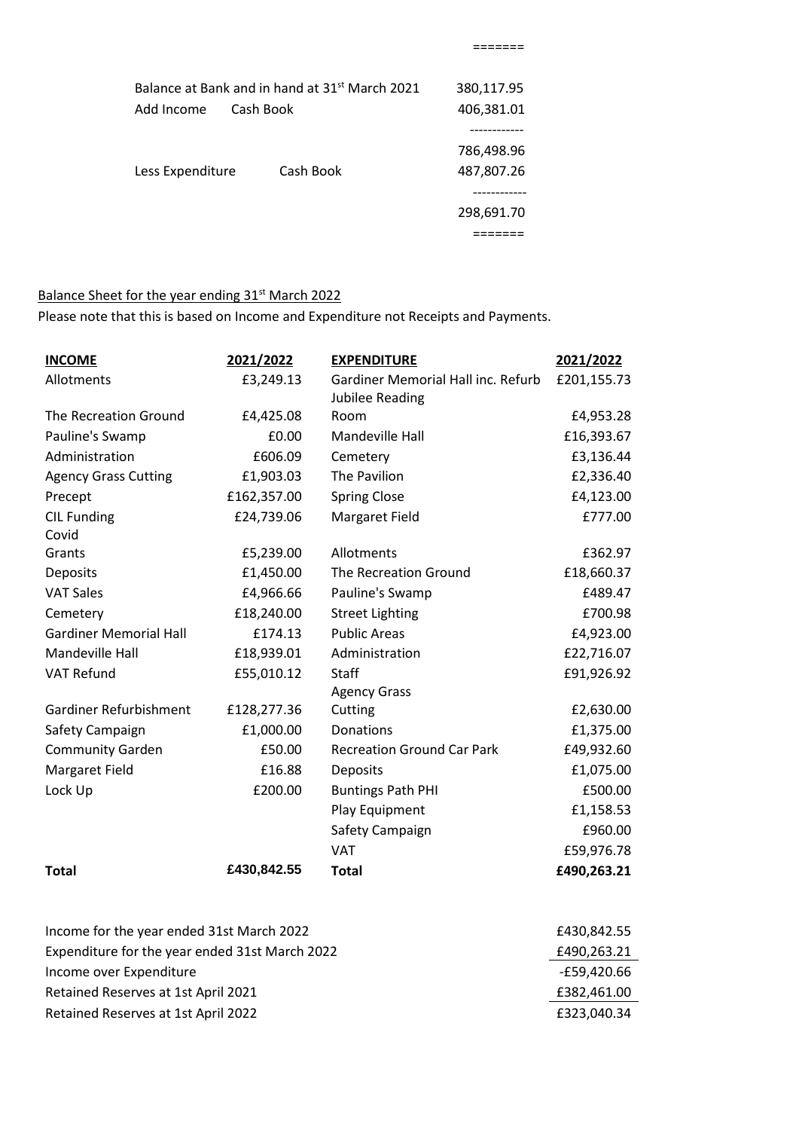| Balance at Bank and in hand at 31 <sup>st</sup> March 2021 |           | 380,117.95 |
|------------------------------------------------------------|-----------|------------|
| Add Income<br>Cash Book                                    |           | 406,381.01 |
|                                                            |           |            |
|                                                            |           | 786,498.96 |
| Less Expenditure                                           | Cash Book | 487,807.26 |
|                                                            |           |            |
|                                                            |           | 298,691.70 |
|                                                            |           |            |
|                                                            |           |            |

# Balance Sheet for the year ending 31<sup>st</sup> March 2022

Please note that this is based on Income and Expenditure not Receipts and Payments.

| <b>INCOME</b>                 | 2021/2022   | <b>EXPENDITURE</b>                 | 2021/2022   |
|-------------------------------|-------------|------------------------------------|-------------|
| Allotments                    | £3,249.13   | Gardiner Memorial Hall inc. Refurb | £201,155.73 |
|                               |             | Jubilee Reading                    |             |
| The Recreation Ground         | £4,425.08   | Room                               | £4,953.28   |
| Pauline's Swamp               | £0.00       | Mandeville Hall                    | £16,393.67  |
| Administration                | £606.09     | Cemetery                           | £3,136.44   |
| <b>Agency Grass Cutting</b>   | £1,903.03   | The Pavilion                       | £2,336.40   |
| Precept                       | £162,357.00 | <b>Spring Close</b>                | £4,123.00   |
| <b>CIL Funding</b><br>Covid   | £24,739.06  | Margaret Field                     | £777.00     |
| Grants                        | £5,239.00   | Allotments                         | £362.97     |
| Deposits                      | £1,450.00   | The Recreation Ground              | £18,660.37  |
| <b>VAT Sales</b>              | £4,966.66   | Pauline's Swamp                    | £489.47     |
| Cemetery                      | £18,240.00  | <b>Street Lighting</b>             | £700.98     |
| <b>Gardiner Memorial Hall</b> | £174.13     | <b>Public Areas</b>                | £4,923.00   |
| Mandeville Hall               | £18,939.01  | Administration                     | £22,716.07  |
| <b>VAT Refund</b>             | £55,010.12  | <b>Staff</b>                       | £91,926.92  |
|                               |             | <b>Agency Grass</b>                |             |
| Gardiner Refurbishment        | £128,277.36 | Cutting                            | £2,630.00   |
| Safety Campaign               | £1,000.00   | Donations                          | £1,375.00   |
| <b>Community Garden</b>       | £50.00      | <b>Recreation Ground Car Park</b>  | £49,932.60  |
| Margaret Field                | £16.88      | Deposits                           | £1,075.00   |
| Lock Up                       | £200.00     | <b>Buntings Path PHI</b>           | £500.00     |
|                               |             | Play Equipment                     | £1,158.53   |
|                               |             | Safety Campaign                    | £960.00     |
|                               |             | <b>VAT</b>                         | £59,976.78  |
| <b>Total</b>                  | £430,842.55 | <b>Total</b>                       | £490,263.21 |
|                               |             |                                    |             |

| £430.842.55 |
|-------------|
| £490,263.21 |
| -£59,420.66 |
| £382,461.00 |
| £323.040.34 |
|             |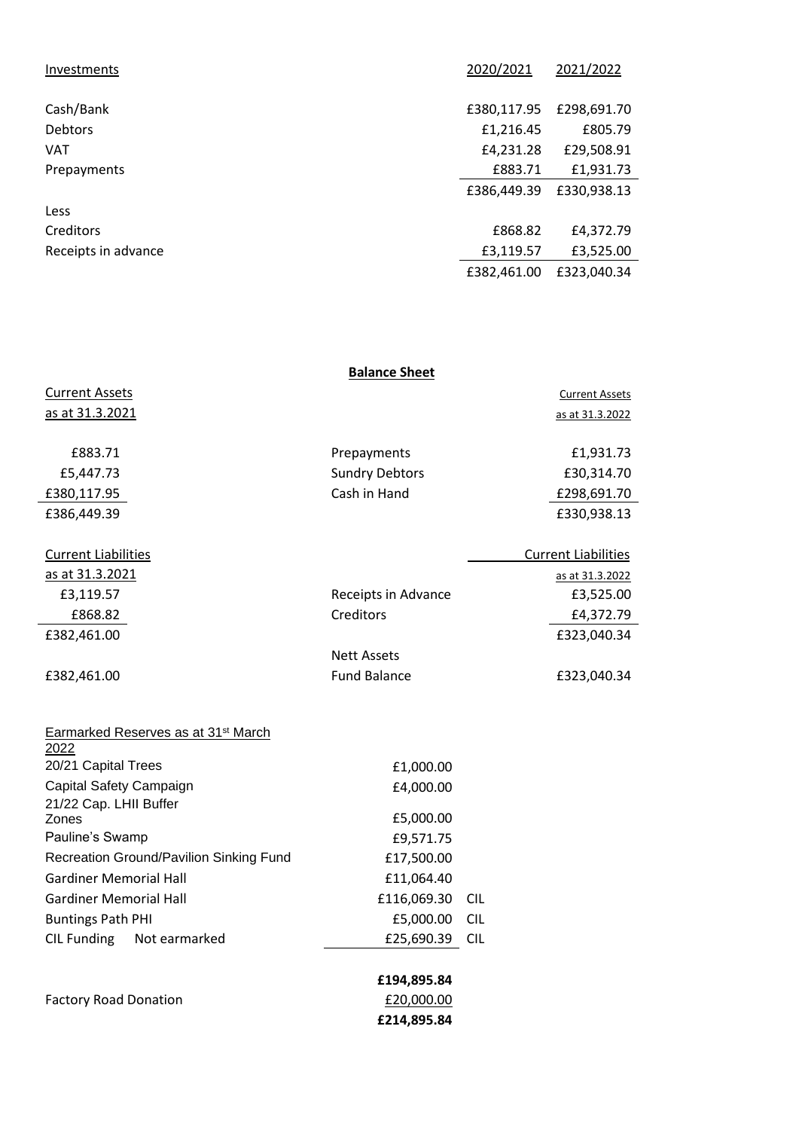| Investments         | 2020/2021   | 2021/2022   |
|---------------------|-------------|-------------|
|                     | £380,117.95 | £298,691.70 |
| Cash/Bank           |             |             |
| <b>Debtors</b>      | £1,216.45   | £805.79     |
| <b>VAT</b>          | £4,231.28   | £29,508.91  |
| Prepayments         | £883.71     | £1,931.73   |
|                     | £386,449.39 | £330,938.13 |
| Less                |             |             |
| Creditors           | £868.82     | £4,372.79   |
| Receipts in advance | £3,119.57   | £3,525.00   |
|                     | £382,461.00 | £323,040.34 |

|                            | <b>Balance Sheet</b>  |                            |
|----------------------------|-----------------------|----------------------------|
| <b>Current Assets</b>      |                       | <b>Current Assets</b>      |
| <u>as at 31.3.2021</u>     |                       | as at 31.3.2022            |
| £883.71                    | Prepayments           | £1,931.73                  |
| £5,447.73                  | <b>Sundry Debtors</b> | £30,314.70                 |
| £380,117.95                | Cash in Hand          | £298,691.70                |
| £386,449.39                |                       | £330,938.13                |
| <b>Current Liabilities</b> |                       | <b>Current Liabilities</b> |
| as at 31.3.2021            |                       | as at 31.3.2022            |
| £3,119.57                  | Receipts in Advance   | £3,525.00                  |
| £868.82                    | Creditors             | £4,372.79                  |
| £382,461.00                |                       | £323,040.34                |
|                            | <b>Nett Assets</b>    |                            |
| £382,461.00                | <b>Fund Balance</b>   | £323,040.34                |
|                            |                       |                            |

**£214,895.84**

| Earmarked Reserves as at 31 <sup>st</sup> March<br>2022 |             |            |
|---------------------------------------------------------|-------------|------------|
| 20/21 Capital Trees                                     | £1,000.00   |            |
| Capital Safety Campaign                                 | £4,000.00   |            |
| 21/22 Cap. LHII Buffer                                  |             |            |
| Zones                                                   | £5,000.00   |            |
| Pauline's Swamp                                         | £9,571.75   |            |
| Recreation Ground/Pavilion Sinking Fund                 | £17,500.00  |            |
| <b>Gardiner Memorial Hall</b>                           | £11,064.40  |            |
| Gardiner Memorial Hall                                  | £116,069.30 | <b>CIL</b> |
| <b>Buntings Path PHI</b>                                | £5,000.00   | <b>CIL</b> |
| CIL Funding Not earmarked                               | £25,690.39  | <b>CIL</b> |
|                                                         |             |            |
|                                                         | £194,895.84 |            |
| <b>Factory Road Donation</b>                            | £20,000.00  |            |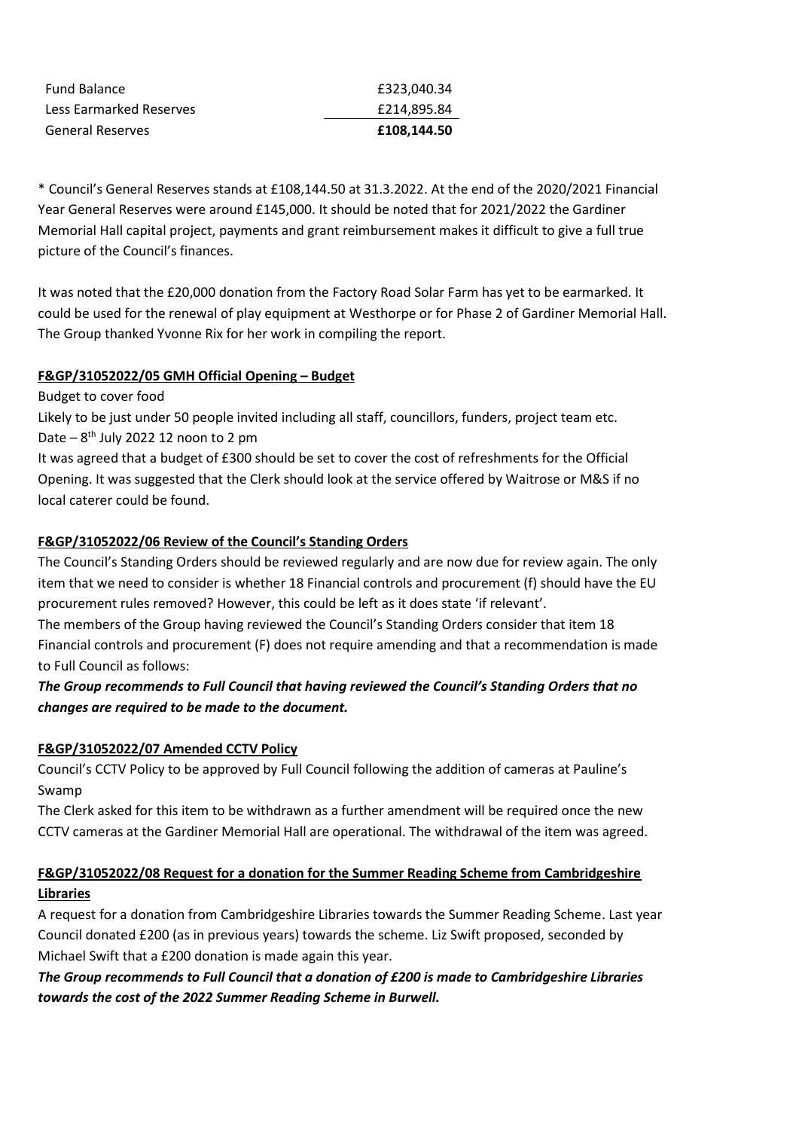| <b>General Reserves</b> | £108.144.50 |
|-------------------------|-------------|
| Less Earmarked Reserves | £214,895.84 |
| <b>Fund Balance</b>     | £323.040.34 |

\* Council's General Reserves stands at £108,144.50 at 31.3.2022. At the end of the 2020/2021 Financial Year General Reserves were around £145,000. It should be noted that for 2021/2022 the Gardiner Memorial Hall capital project, payments and grant reimbursement makes it difficult to give a full true picture of the Council's finances.

It was noted that the £20,000 donation from the Factory Road Solar Farm has yet to be earmarked. It could be used for the renewal of play equipment at Westhorpe or for Phase 2 of Gardiner Memorial Hall. The Group thanked Yvonne Rix for her work in compiling the report.

#### **F&GP/31052022/05 GMH Official Opening – Budget**

Budget to cover food Likely to be just under 50 people invited including all staff, councillors, funders, project team etc. Date – 8<sup>th</sup> July 2022 12 noon to 2 pm

It was agreed that a budget of £300 should be set to cover the cost of refreshments for the Official Opening. It was suggested that the Clerk should look at the service offered by Waitrose or M&S if no local caterer could be found.

#### **F&GP/31052022/06 Review of the Council's Standing Orders**

The Council's Standing Orders should be reviewed regularly and are now due for review again. The only item that we need to consider is whether 18 Financial controls and procurement (f) should have the EU procurement rules removed? However, this could be left as it does state 'if relevant'.

The members of the Group having reviewed the Council's Standing Orders consider that item 18 Financial controls and procurement (F) does not require amending and that a recommendation is made to Full Council as follows:

## *The Group recommends to Full Council that having reviewed the Council's Standing Orders that no changes are required to be made to the document.*

## **F&GP/31052022/07 Amended CCTV Policy**

Council's CCTV Policy to be approved by Full Council following the addition of cameras at Pauline's Swamp

The Clerk asked for this item to be withdrawn as a further amendment will be required once the new CCTV cameras at the Gardiner Memorial Hall are operational. The withdrawal of the item was agreed.

# **F&GP/31052022/08 Request for a donation for the Summer Reading Scheme from Cambridgeshire Libraries**

A request for a donation from Cambridgeshire Libraries towards the Summer Reading Scheme. Last year Council donated £200 (as in previous years) towards the scheme. Liz Swift proposed, seconded by Michael Swift that a £200 donation is made again this year.

*The Group recommends to Full Council that a donation of £200 is made to Cambridgeshire Libraries towards the cost of the 2022 Summer Reading Scheme in Burwell.*